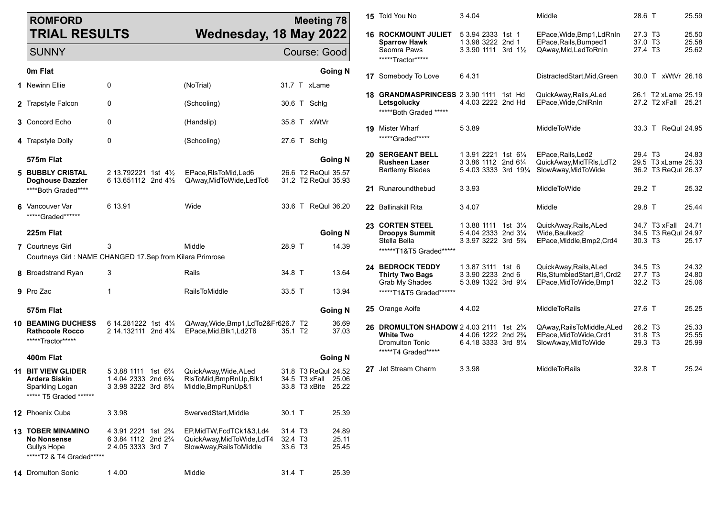| <b>ROMFORD</b>                                                                                    |                                                                                                                     |                                                                                  |                               | <b>Meeting 78</b>                                           |                         | 15 Told You No                                                                                                  | 34.04                                                                 | Middle                                                                         | 28.6 T                                                            | 25.59                   |
|---------------------------------------------------------------------------------------------------|---------------------------------------------------------------------------------------------------------------------|----------------------------------------------------------------------------------|-------------------------------|-------------------------------------------------------------|-------------------------|-----------------------------------------------------------------------------------------------------------------|-----------------------------------------------------------------------|--------------------------------------------------------------------------------|-------------------------------------------------------------------|-------------------------|
| <b>TRIAL RESULTS</b>                                                                              |                                                                                                                     | Wednesday, 18 May 2022                                                           |                               |                                                             |                         | <b>16 ROCKMOUNT JULIET</b><br><b>Sparrow Hawk</b><br>Seomra Paws                                                | 5 3.94 2333 1st 1<br>1 3.98 3222 2nd 1<br>3 3 90 1111 3rd 11/2        | EPace, Wide, Bmp1, LdRnIn<br>EPace, Rails, Bumped1<br>QAway, Mid, Led To Rn In | 27.3 T3<br>37.0 T3<br>27.4 T3                                     | 25.50<br>25.58<br>25.62 |
| <b>SUNNY</b>                                                                                      |                                                                                                                     |                                                                                  |                               | Course: Good                                                |                         | *****Tractor*****                                                                                               |                                                                       |                                                                                |                                                                   |                         |
| <b>0m Flat</b>                                                                                    |                                                                                                                     |                                                                                  |                               |                                                             | <b>Going N</b>          | 17 Somebody To Love                                                                                             | 64.31                                                                 | DistractedStart, Mid, Green                                                    | 30.0 T xWtVr 26.16                                                |                         |
| 1 Newinn Ellie                                                                                    | $\mathbf 0$                                                                                                         | (NoTrial)                                                                        |                               | 31.7 T xLame                                                |                         | 18 GRANDMASPRINCESS 2 3.90 1111 1st Hd                                                                          |                                                                       | QuickAway, Rails, ALed                                                         | 26.1 T2 xLame 25.19                                               |                         |
| 2 Trapstyle Falcon                                                                                | 0                                                                                                                   | (Schooling)                                                                      |                               | 30.6 T Schlg                                                |                         | Letsgolucky<br>***** Both Graded *****                                                                          | 4 4.03 2222 2nd Hd                                                    | EPace, Wide, ChlRnIn                                                           | 27.2 T2 xFall 25.21                                               |                         |
| 3 Concord Echo                                                                                    | 0                                                                                                                   | (Handslip)                                                                       |                               | 35.8 T xWtVr                                                |                         | <b>19</b> Mister Wharf                                                                                          | 5 3.89                                                                | <b>MiddleToWide</b>                                                            | 33.3 T ReQul 24.95                                                |                         |
| 4 Trapstyle Dolly                                                                                 | 0                                                                                                                   | (Schooling)                                                                      |                               | 27.6 T Schlg                                                |                         | *****Graded******                                                                                               |                                                                       |                                                                                |                                                                   |                         |
| 575m Flat<br>5 BUBBLY CRISTAL                                                                     | 2 13.792221 1st 41/ <sub>2</sub>                                                                                    | EPace, RIs To Mid, Led 6                                                         |                               | 26.6 T2 ReQul 35.57                                         | <b>Going N</b>          | <b>20 SERGEANT BELL</b><br><b>Rusheen Laser</b><br><b>Bartlemy Blades</b>                                       | 1 3.91 2221 1st 61/4<br>3 3.86 1112 2nd 61/4<br>54.033333 3rd 191/4   | EPace, Rails, Led2<br>QuickAway, MidTRIs, LdT2<br>SlowAway,MidToWide           | 29.4 T <sub>3</sub><br>29.5 T3 xLame 25.33<br>36.2 T3 ReQul 26.37 | 24.83                   |
| <b>Doghouse Dazzler</b><br>****Both Graded****                                                    | 6 13.651112 2nd 41/2                                                                                                | QAway, MidToWide, LedTo6                                                         |                               | 31.2 T2 ReQul 35.93                                         |                         | 21 Runaroundthebud                                                                                              | 3 3 9 3                                                               | MiddleToWide                                                                   | 29.2 T                                                            | 25.32                   |
| 6 Vancouver Var<br>*****Graded******                                                              | 6 13.91                                                                                                             | Wide                                                                             |                               | 33.6 T ReQul 36.20                                          |                         | 22 Ballinakill Rita                                                                                             | 34.07                                                                 | Middle                                                                         | 29.8 T                                                            | 25.44                   |
| 225m Flat                                                                                         |                                                                                                                     |                                                                                  |                               |                                                             | <b>Going N</b>          | <b>23 CORTEN STEEL</b><br><b>Droopys Summit</b><br>Stella Bella                                                 | 1 3.88 1111 1st 31/4<br>5 4.04 2333 2nd 31/4<br>3 3.97 3222 3rd 5%    | QuickAway, Rails, ALed<br>Wide, Baulked2<br>EPace, Middle, Bmp2, Crd4          | 34.7 T3 xFall<br>34.5 T3 ReQul 24.97<br>30.3 T3                   | 24.71<br>25.17          |
| 7 Courtneys Girl<br>Courtneys Girl: NAME CHANGED 17.Sep from Kilara Primrose                      | 3                                                                                                                   | Middle                                                                           | 28.9 T                        |                                                             | 14.39                   | *******T1&T5 Graded******                                                                                       |                                                                       |                                                                                |                                                                   |                         |
| 8 Broadstrand Ryan                                                                                | 3                                                                                                                   | Rails                                                                            | 34.8 T                        |                                                             | 13.64                   | <b>24 BEDROCK TEDDY</b><br><b>Thirty Two Bags</b><br>Grab My Shades                                             | 1 3.87 3111 1st 6<br>3 3.90 2233 2nd 6<br>5 3.89 1322 3rd 91/4        | QuickAway, Rails, ALed<br>Rls,StumbledStart,B1,Crd2<br>EPace, MidToWide, Bmp1  | 34.5 T <sub>3</sub><br>27.7 T3<br>32.2 T3                         | 24.32<br>24.80<br>25.06 |
| 9 Pro Zac                                                                                         | -1                                                                                                                  | <b>RailsToMiddle</b>                                                             | 33.5 T                        |                                                             | 13.94                   | *****T1&T5 Graded*******                                                                                        |                                                                       |                                                                                |                                                                   |                         |
| 575m Flat                                                                                         |                                                                                                                     |                                                                                  |                               |                                                             | <b>Going N</b>          | 25 Orange Aoife                                                                                                 | 4 4.02                                                                | <b>MiddleToRails</b>                                                           | 27.6 T                                                            | 25.25                   |
| <b>10 BEAMING DUCHESS</b><br><b>Rathcoole Rocco</b><br>******Tractor*****                         | 6 14.281222 1st 41/4<br>2 14.132111 2nd 41/4                                                                        | QAway, Wide, Bmp1, LdTo 2& Fr626.7 T2<br>EPace, Mid, Blk1, Ld2T6                 | 35.1 T <sub>2</sub>           |                                                             | 36.69<br>37.03          | 26 DROMULTON SHADOW 2 4.03 2111 1st 2 <sup>3</sup> / <sub>4</sub><br><b>White Two</b><br><b>Dromulton Tonic</b> | 4 4.06 1222 2nd 2 <sup>3</sup> / <sub>4</sub><br>6 4.18 3333 3rd 81/4 | QAway, Rails To Middle, ALed<br>EPace, MidToWide, Crd1<br>SlowAway, MidToWide  | 26.2 T3<br>31.8 T3<br>29.3 T <sub>3</sub>                         | 25.33<br>25.55<br>25.99 |
| 400m Flat                                                                                         |                                                                                                                     |                                                                                  |                               |                                                             | <b>Going N</b>          | *****T4 Graded*****                                                                                             |                                                                       |                                                                                |                                                                   |                         |
| <b>11 BIT VIEW GLIDER</b><br>Ardera Siskin<br>Sparkling Logan<br>***** T5 Graded ******           | 5 3.88 1111 1st 6 <sup>3</sup> / <sub>4</sub><br>14.04 2333 2nd 6 <sup>3</sup> / <sub>4</sub><br>3 3.98 3222 3rd 8% | QuickAway, Wide, ALed<br>RIsToMid, BmpRnUp, Blk1<br>Middle, BmpRunUp&1           |                               | 31.8 T3 ReQul 24.52<br>34.5 T3 xFall<br>33.8 T3 xBite 25.22 | 25.06                   | 27 Jet Stream Charm                                                                                             | 3 3.98                                                                | <b>MiddleToRails</b>                                                           | 32.8 T                                                            | 25.24                   |
| 12 Phoenix Cuba                                                                                   | 3 3.98                                                                                                              | SwervedStart, Middle                                                             | 30.1 T                        |                                                             | 25.39                   |                                                                                                                 |                                                                       |                                                                                |                                                                   |                         |
| <b>13 TOBER MINAMINO</b><br><b>No Nonsense</b><br><b>Gullys Hope</b><br>*****T2 & T4 Graded****** | 4 3.91 2221 1st 2 <sup>3</sup> / <sub>4</sub><br>6 3.84 1112 2nd 2 <sup>3</sup> / <sub>4</sub><br>2 4.05 3333 3rd 7 | EP, MidTW, FcdTCk1&3, Ld4<br>QuickAway,MidToWide,LdT4<br>SlowAway, RailsToMiddle | 31.4 T3<br>32.4 T3<br>33.6 T3 |                                                             | 24.89<br>25.11<br>25.45 |                                                                                                                 |                                                                       |                                                                                |                                                                   |                         |
|                                                                                                   |                                                                                                                     |                                                                                  |                               |                                                             | 25.39                   |                                                                                                                 |                                                                       |                                                                                |                                                                   |                         |
| 14 Dromulton Sonic                                                                                | 14.00                                                                                                               | Middle                                                                           | 31.4 T                        |                                                             |                         |                                                                                                                 |                                                                       |                                                                                |                                                                   |                         |